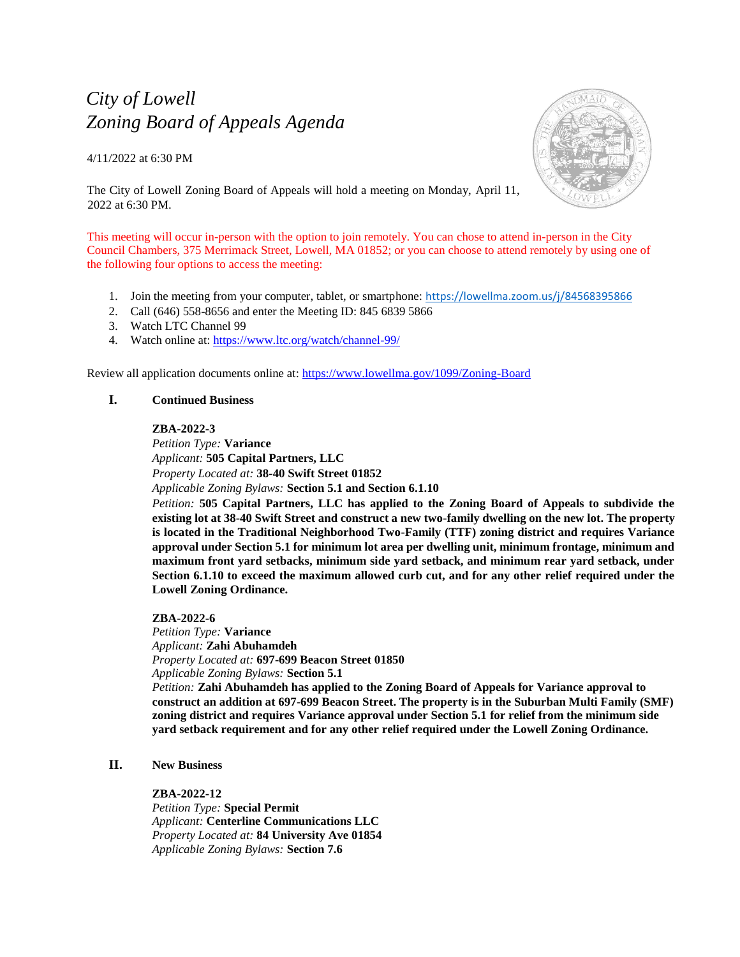# *City of Lowell Zoning Board of Appeals Agenda*

4/11/2022 at 6:30 PM



The City of Lowell Zoning Board of Appeals will hold a meeting on Monday, April 11, 2022 at 6:30 PM.

This meeting will occur in-person with the option to join remotely. You can chose to attend in-person in the City Council Chambers, 375 Merrimack Street, Lowell, MA 01852; or you can choose to attend remotely by using one of the following four options to access the meeting:

- 1. Join the meeting from your computer, tablet, or smartphone: <https://lowellma.zoom.us/j/84568395866>
- 2. Call (646) 558-8656 and enter the Meeting ID: 845 6839 5866
- 3. Watch LTC Channel 99
- 4. Watch online at:<https://www.ltc.org/watch/channel-99/>

Review all application documents online at:<https://www.lowellma.gov/1099/Zoning-Board>

## **I. Continued Business**

## **ZBA-2022-3**

*Petition Type:* **Variance** *Applicant:* **505 Capital Partners, LLC** *Property Located at:* **38-40 Swift Street 01852** *Applicable Zoning Bylaws:* **Section 5.1 and Section 6.1.10**

*Petition:* **505 Capital Partners, LLC has applied to the Zoning Board of Appeals to subdivide the existing lot at 38-40 Swift Street and construct a new two-family dwelling on the new lot. The property is located in the Traditional Neighborhood Two-Family (TTF) zoning district and requires Variance approval under Section 5.1 for minimum lot area per dwelling unit, minimum frontage, minimum and maximum front yard setbacks, minimum side yard setback, and minimum rear yard setback, under Section 6.1.10 to exceed the maximum allowed curb cut, and for any other relief required under the Lowell Zoning Ordinance.**

## **ZBA-2022-6**

*Petition Type:* **Variance** *Applicant:* **Zahi Abuhamdeh** *Property Located at:* **697-699 Beacon Street 01850** *Applicable Zoning Bylaws:* **Section 5.1** *Petition:* **Zahi Abuhamdeh has applied to the Zoning Board of Appeals for Variance approval to construct an addition at 697-699 Beacon Street. The property is in the Suburban Multi Family (SMF) zoning district and requires Variance approval under Section 5.1 for relief from the minimum side yard setback requirement and for any other relief required under the Lowell Zoning Ordinance.**

# **II. New Business**

## **ZBA-2022-12**

*Petition Type:* **Special Permit** *Applicant:* **Centerline Communications LLC** *Property Located at:* **84 University Ave 01854** *Applicable Zoning Bylaws:* **Section 7.6**